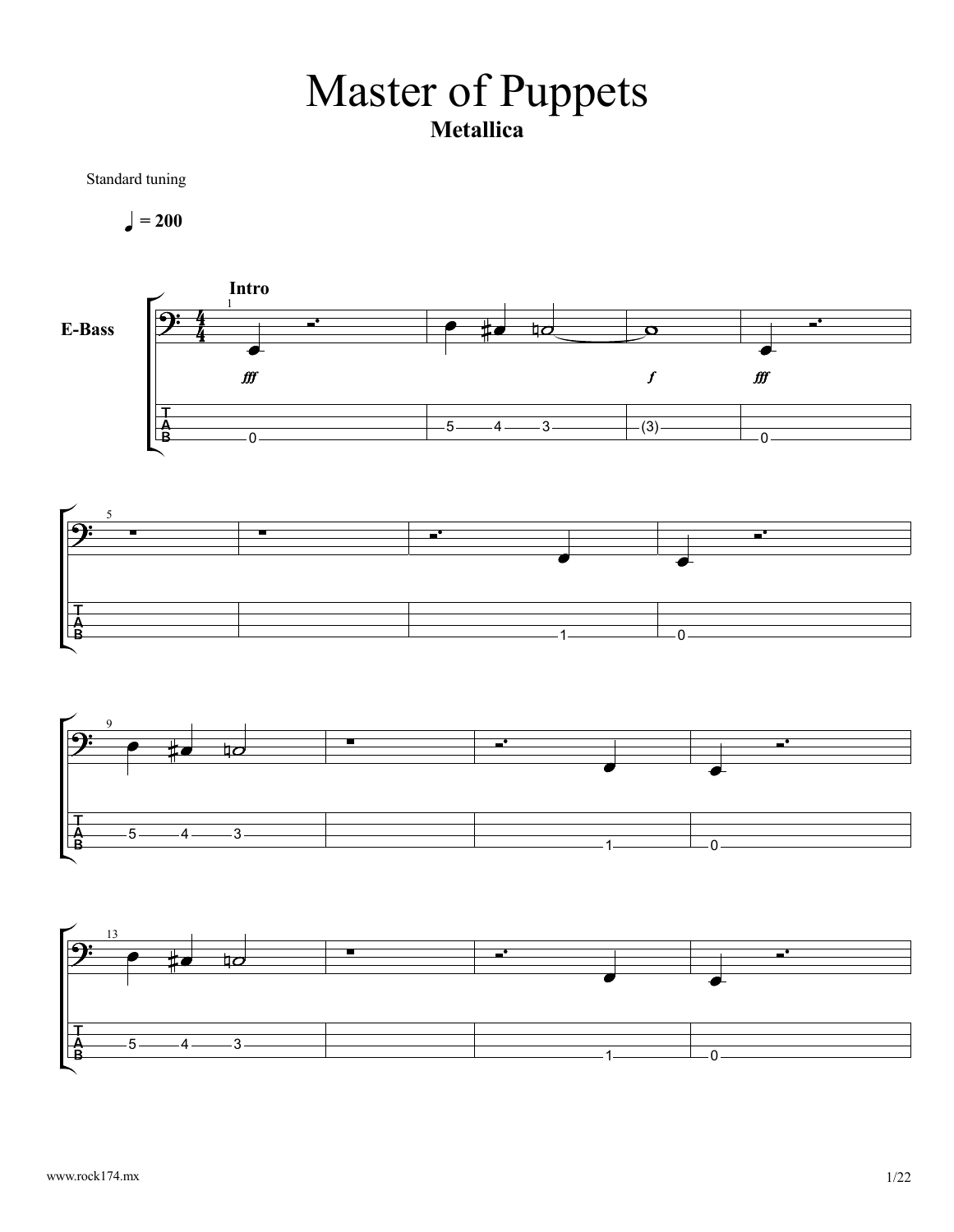## Master of Puppets Metallica

Standard tuning

$$
\bullet = 200
$$

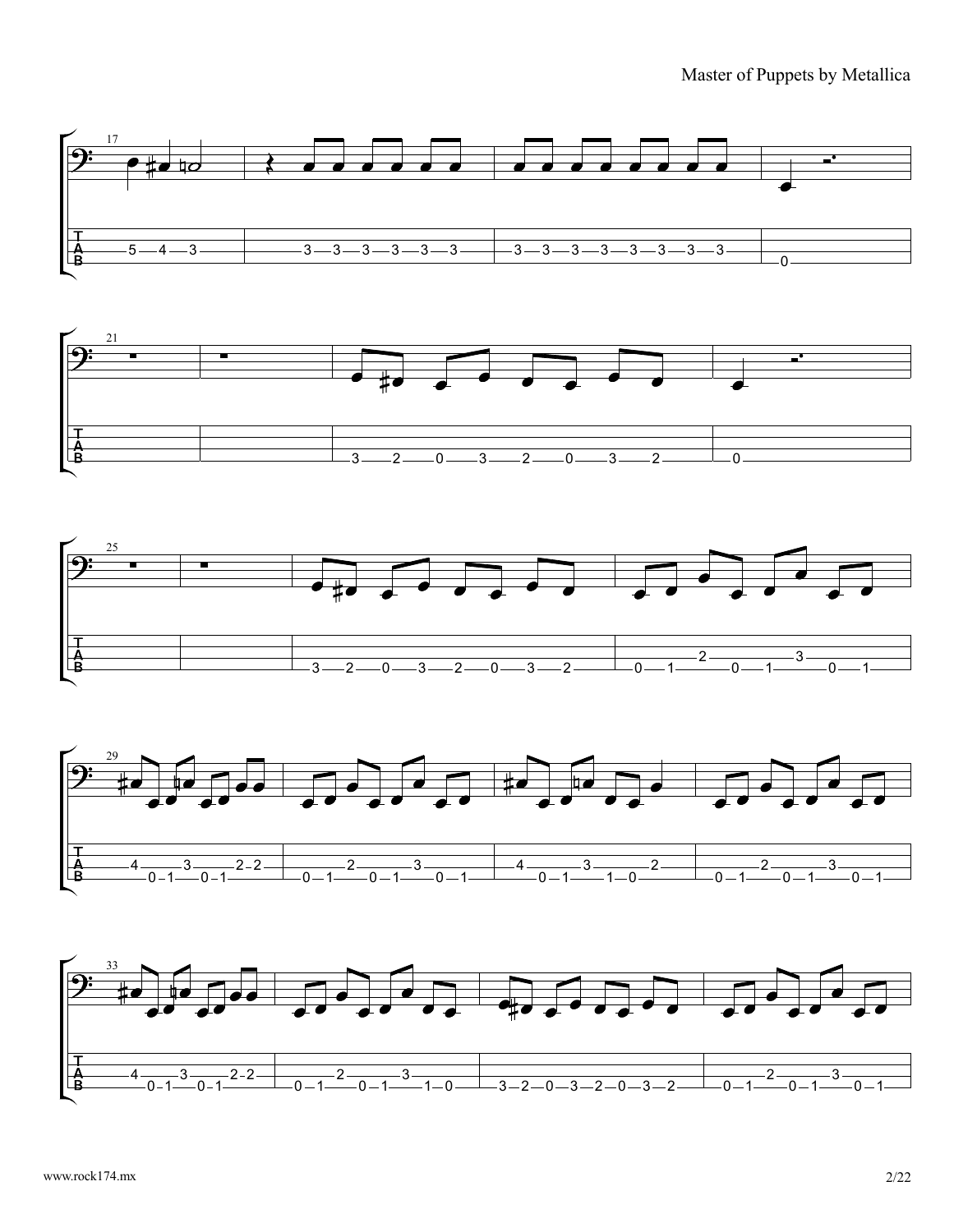







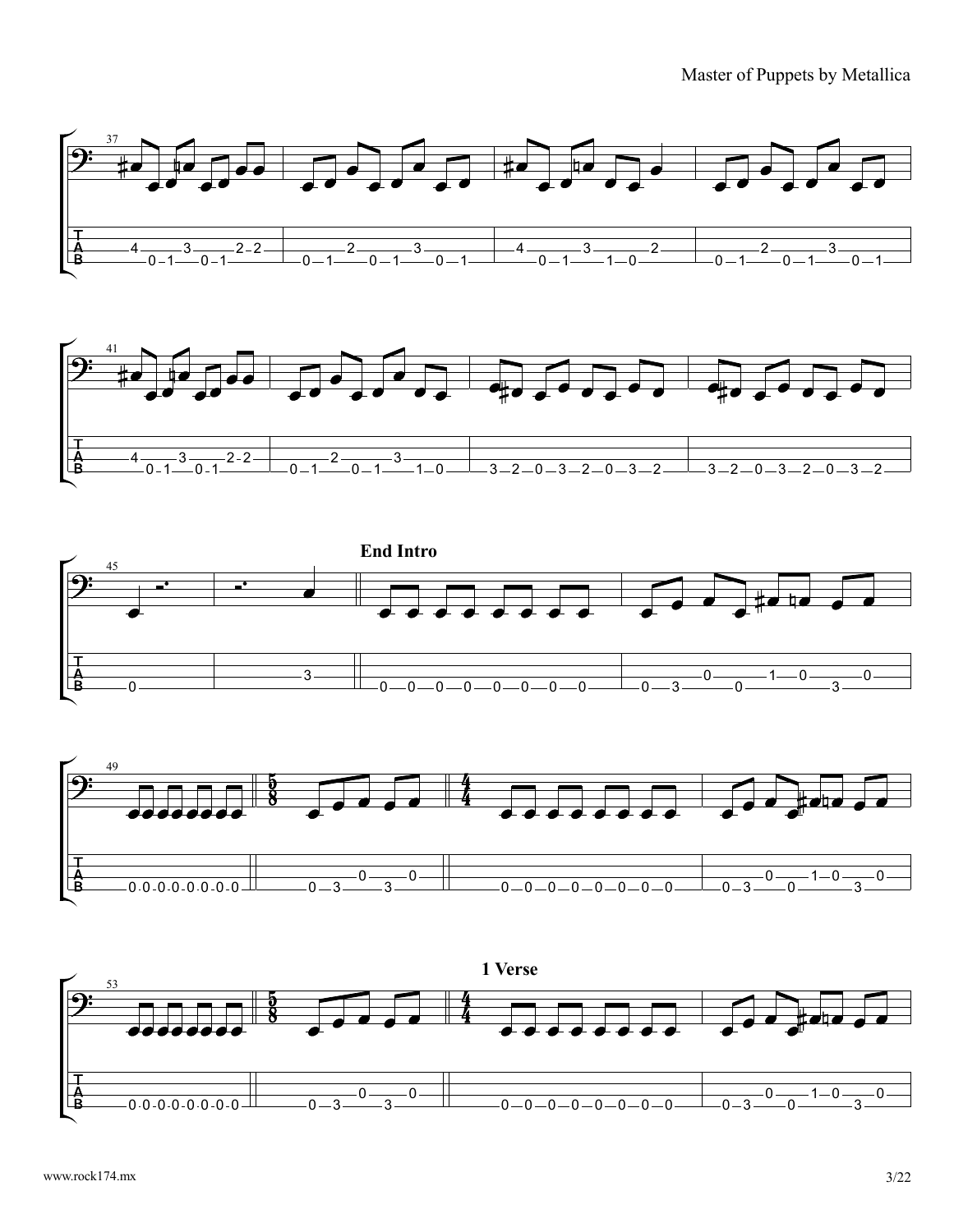







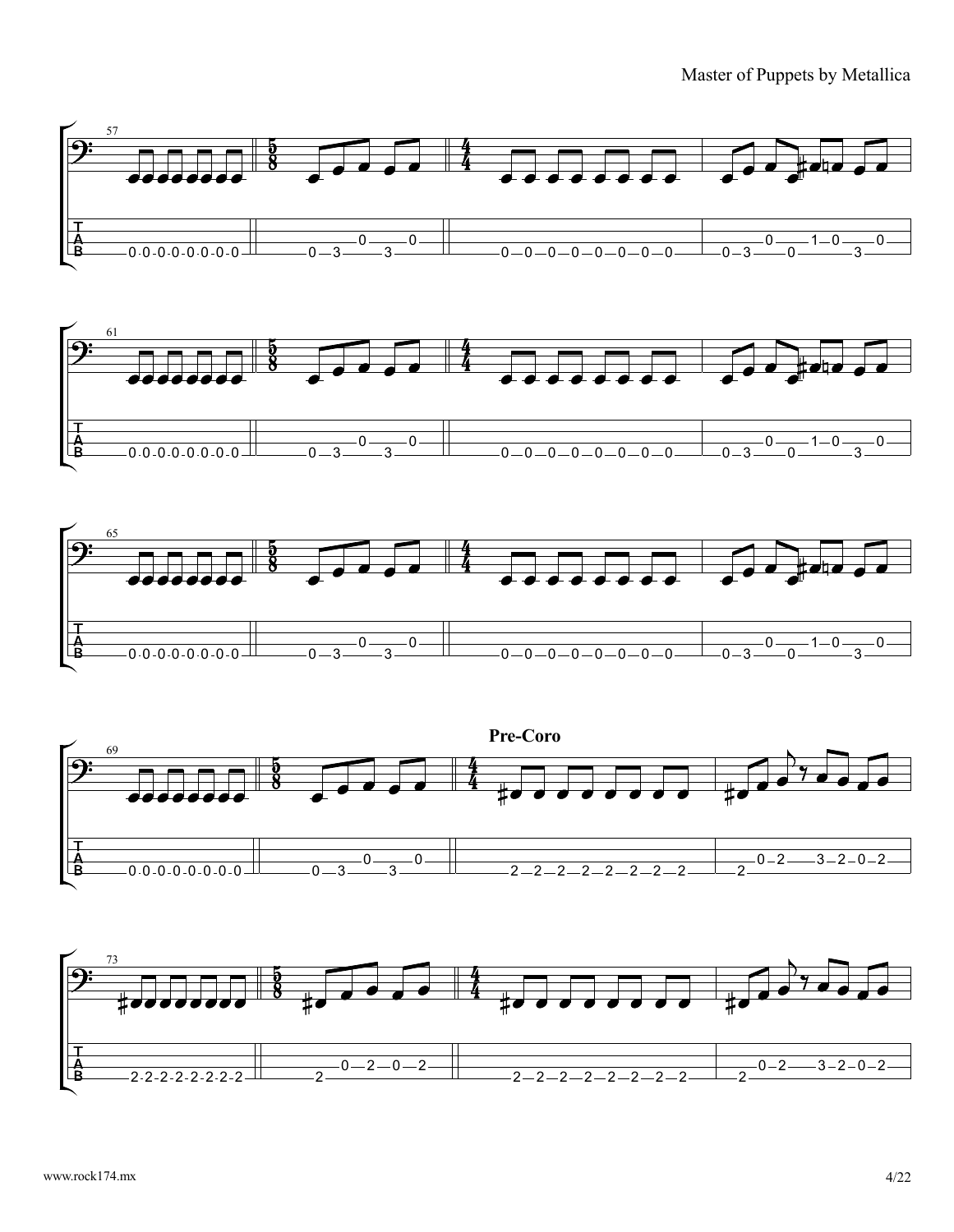







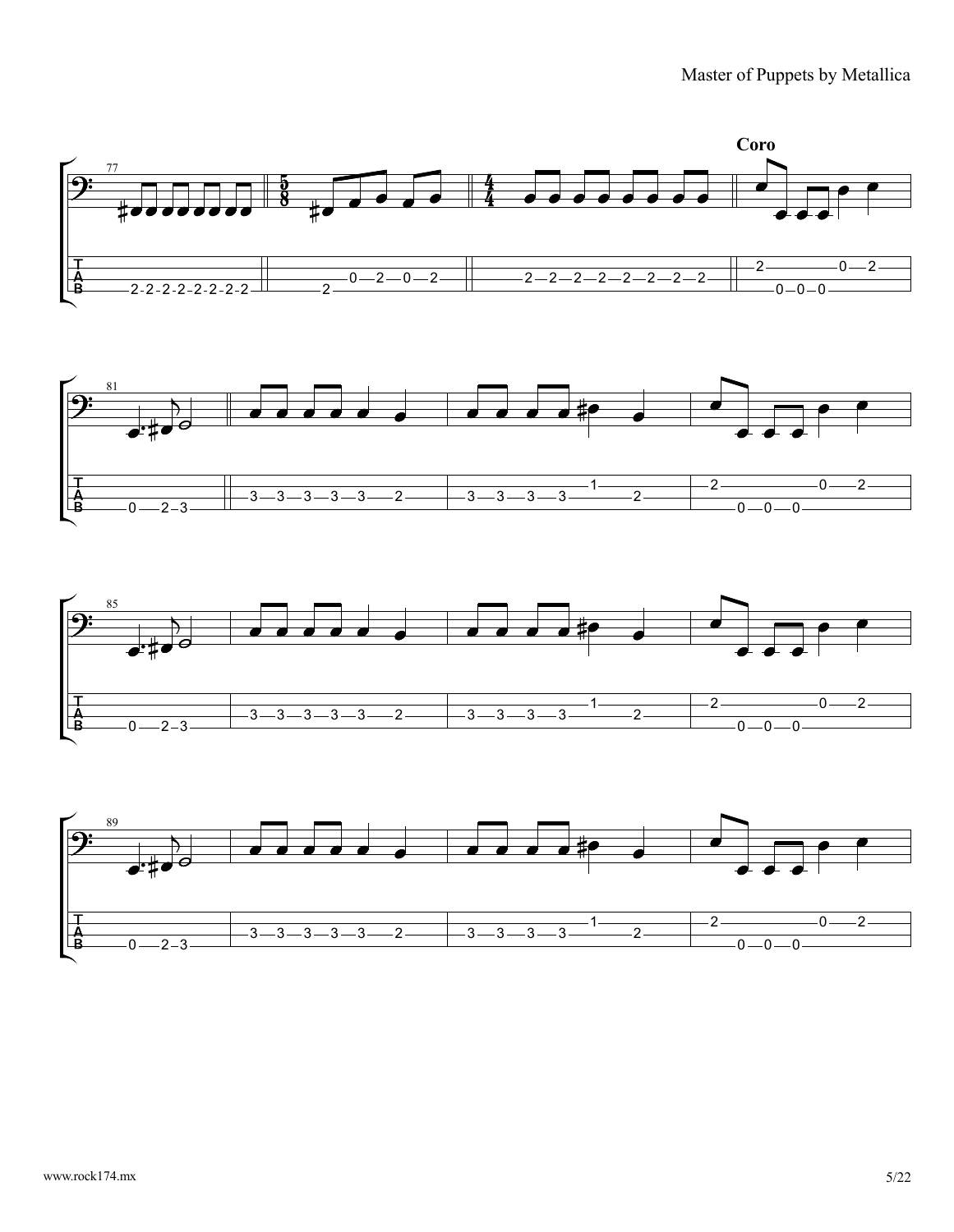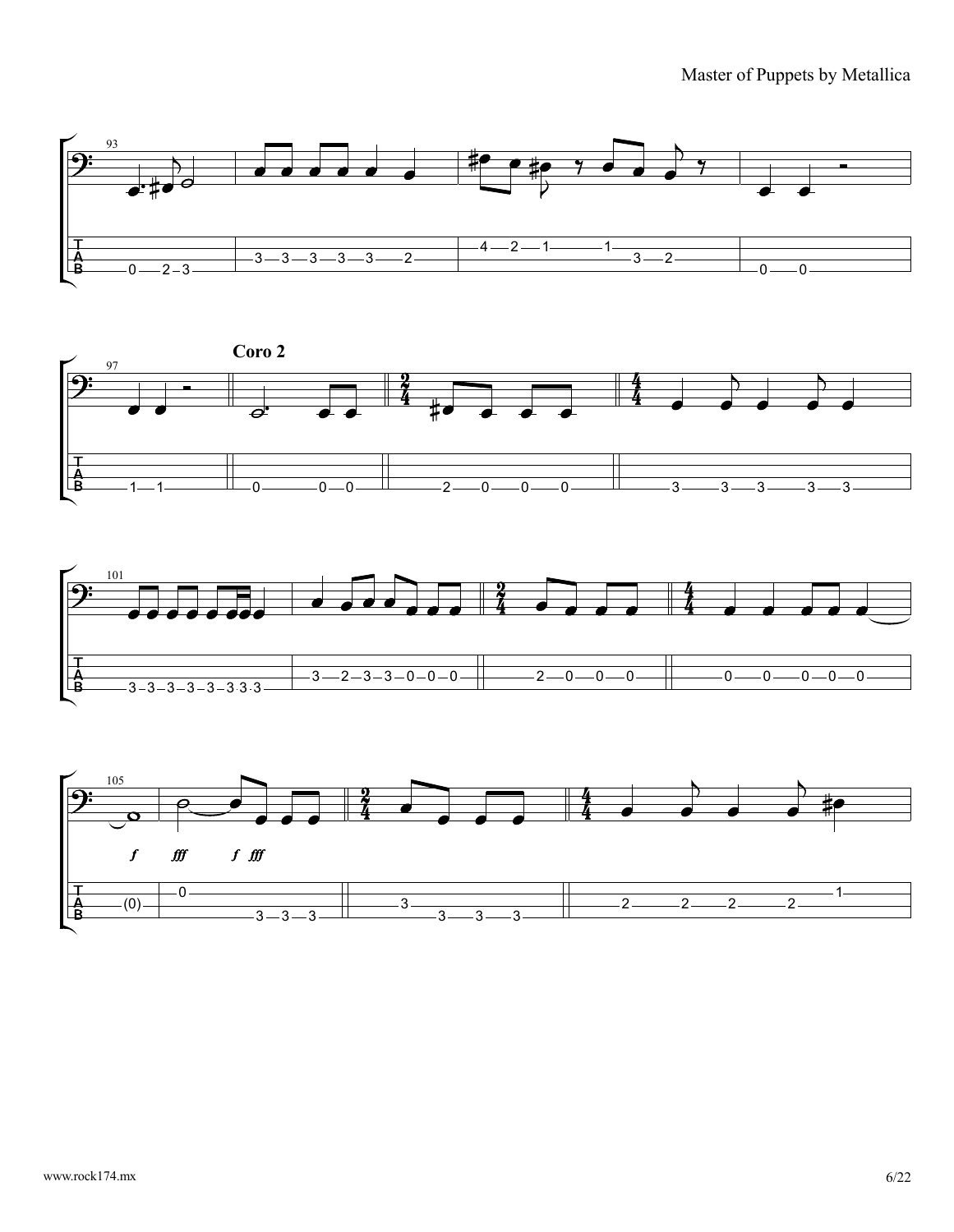





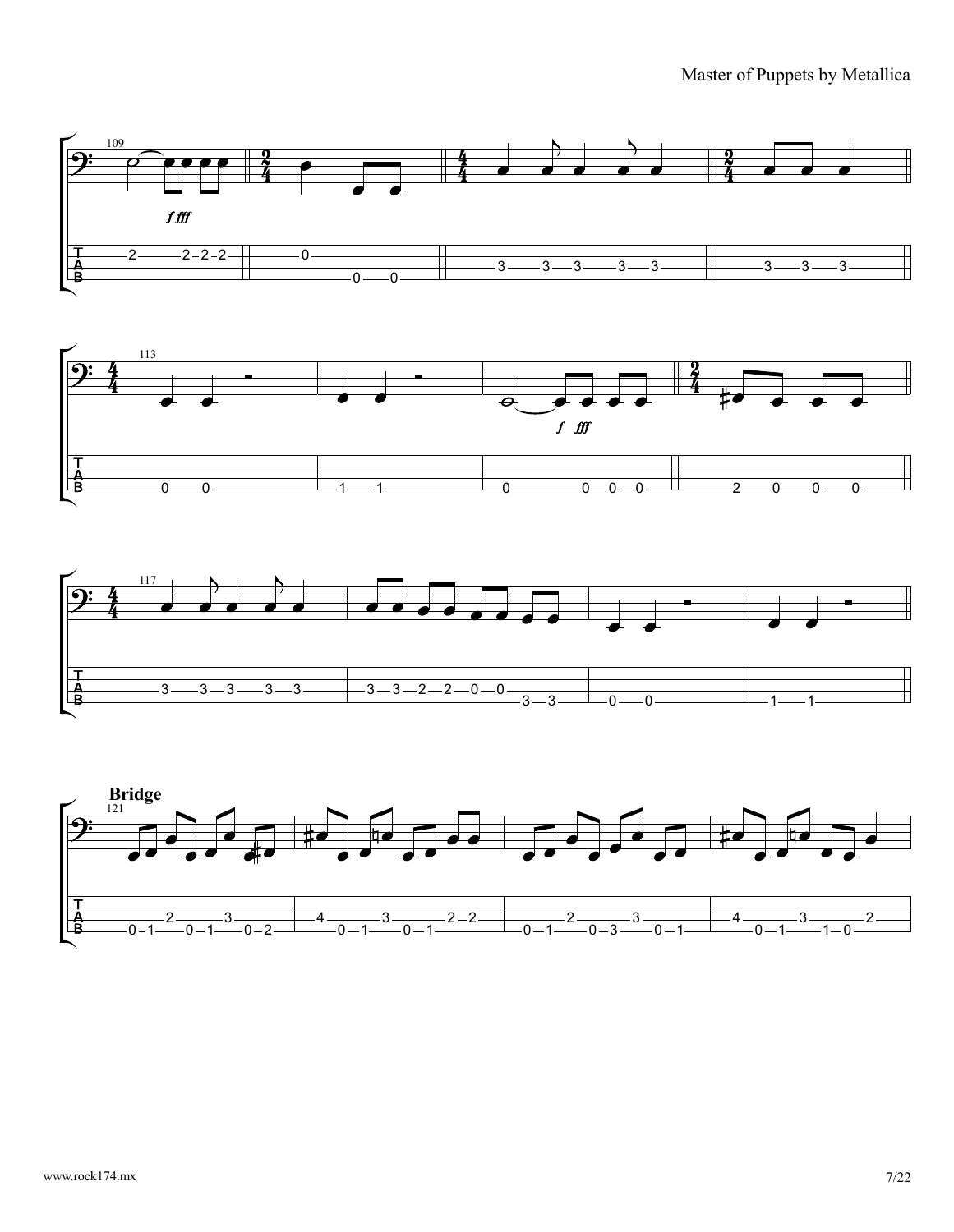





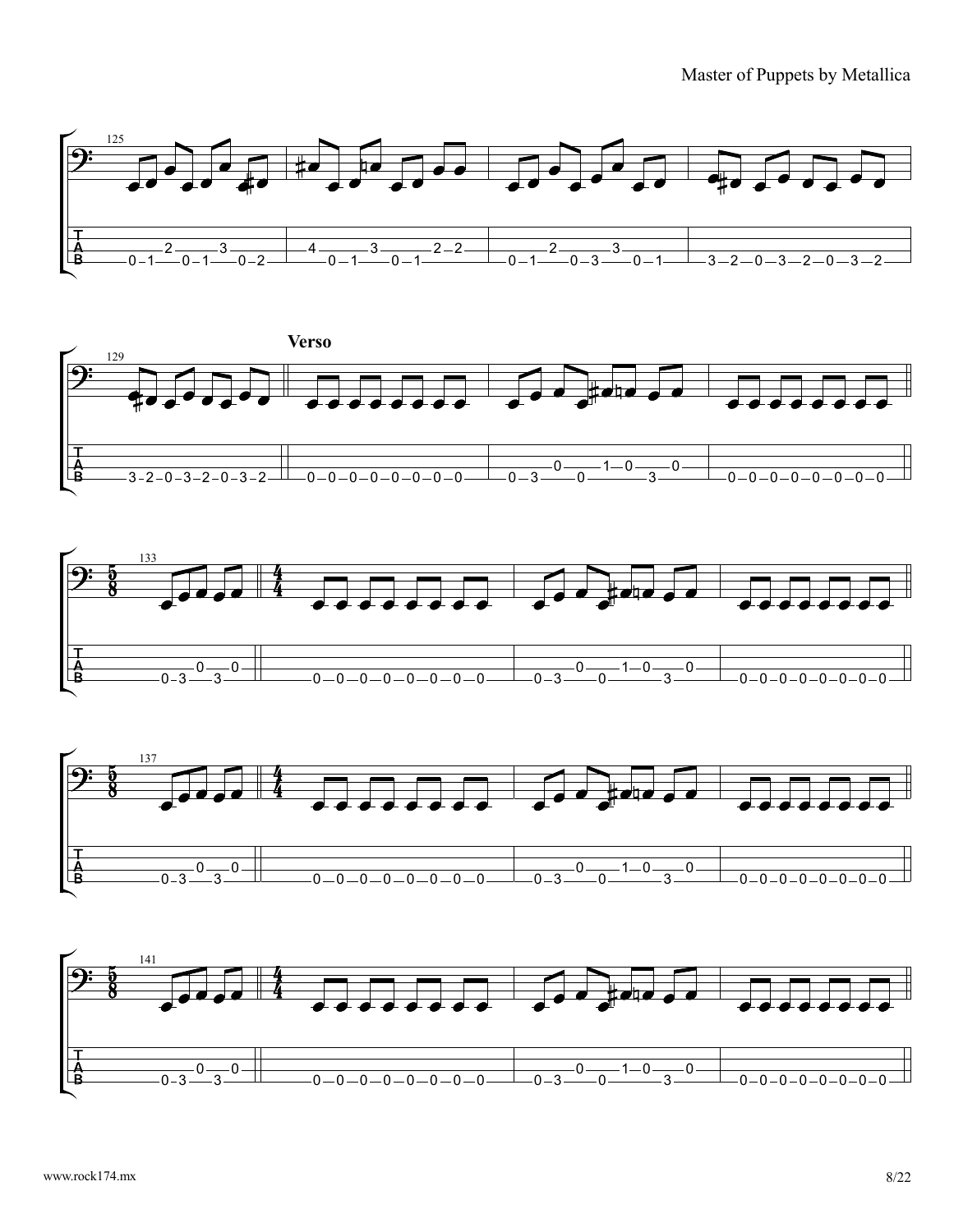







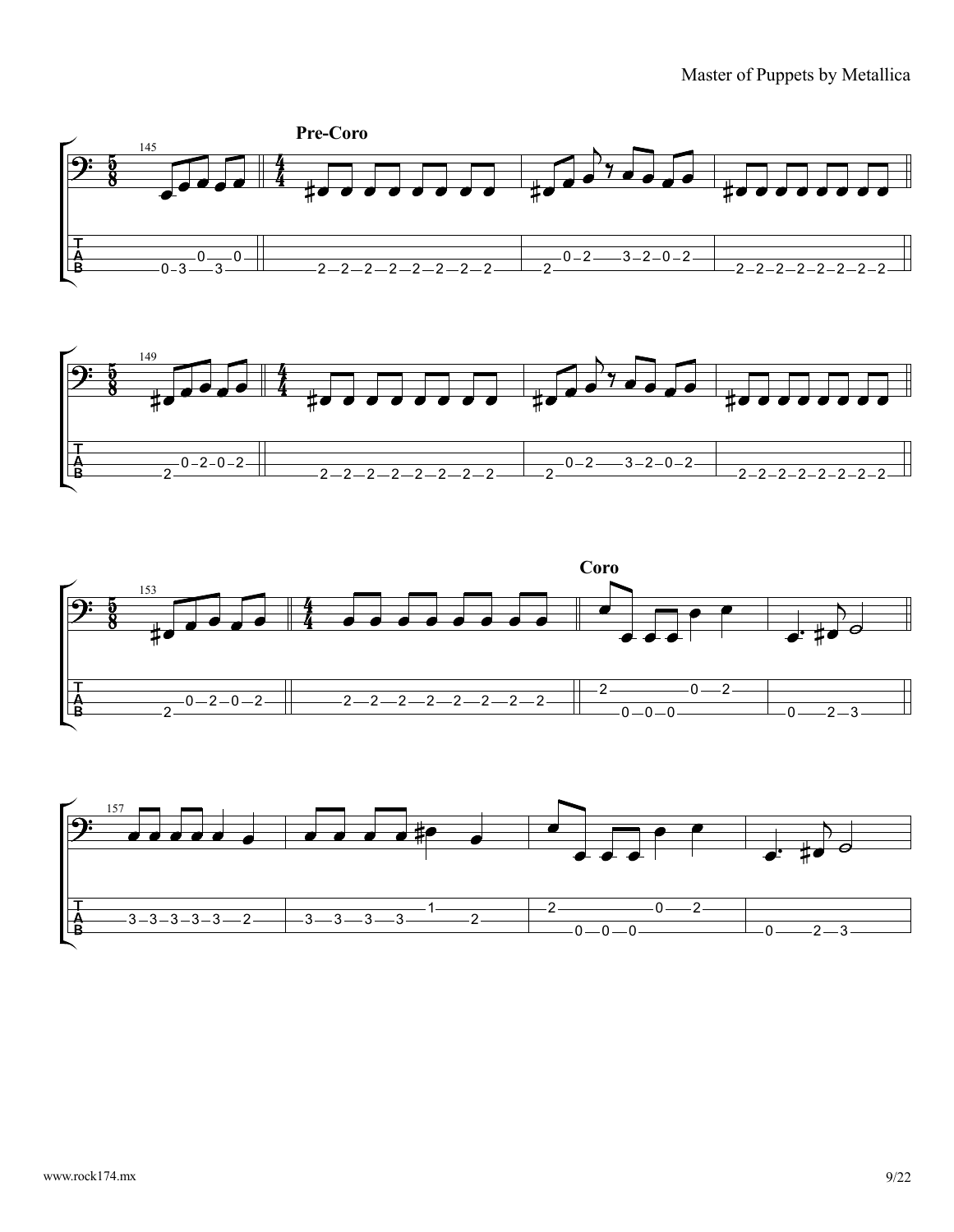





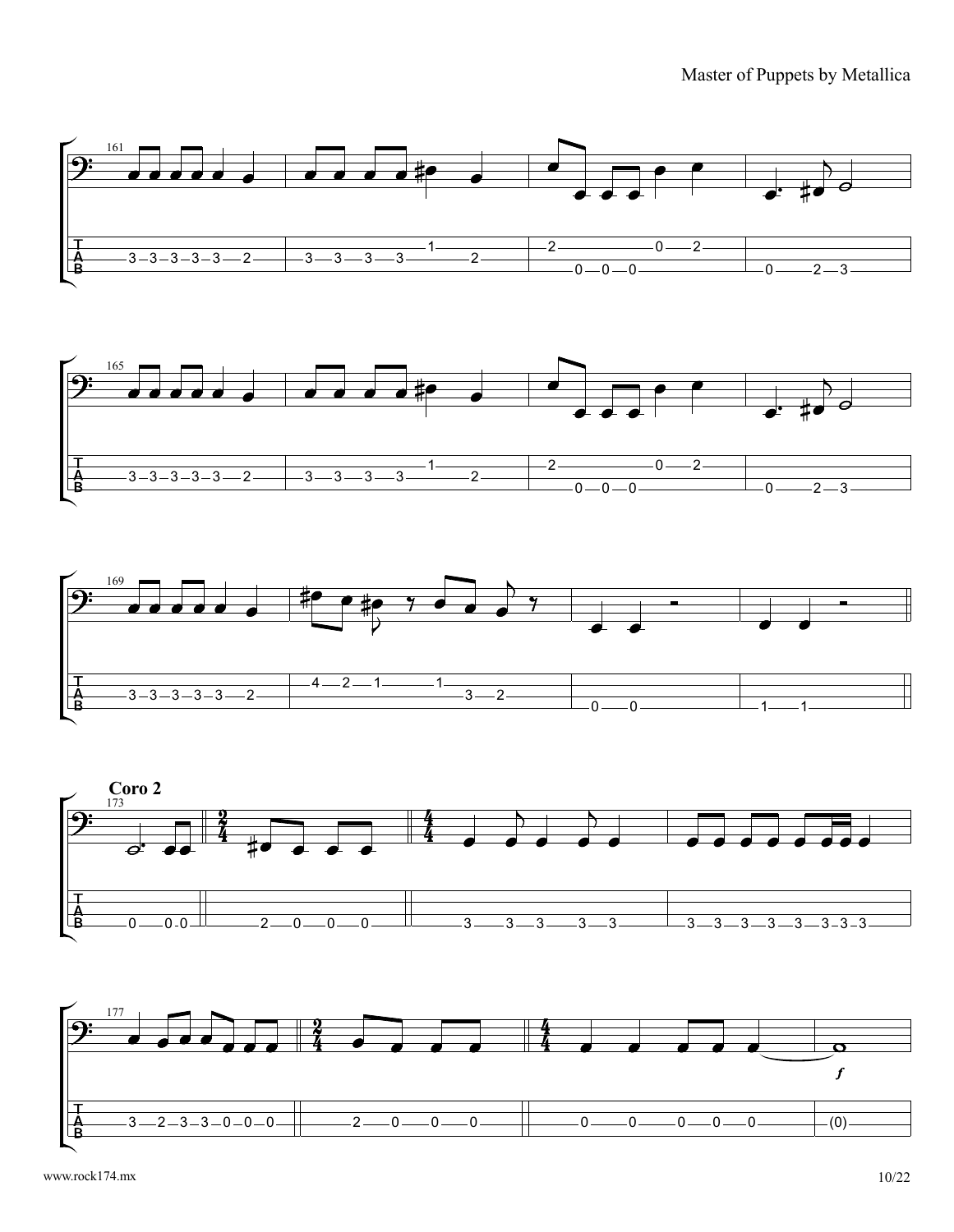Master of Puppets by Metallica









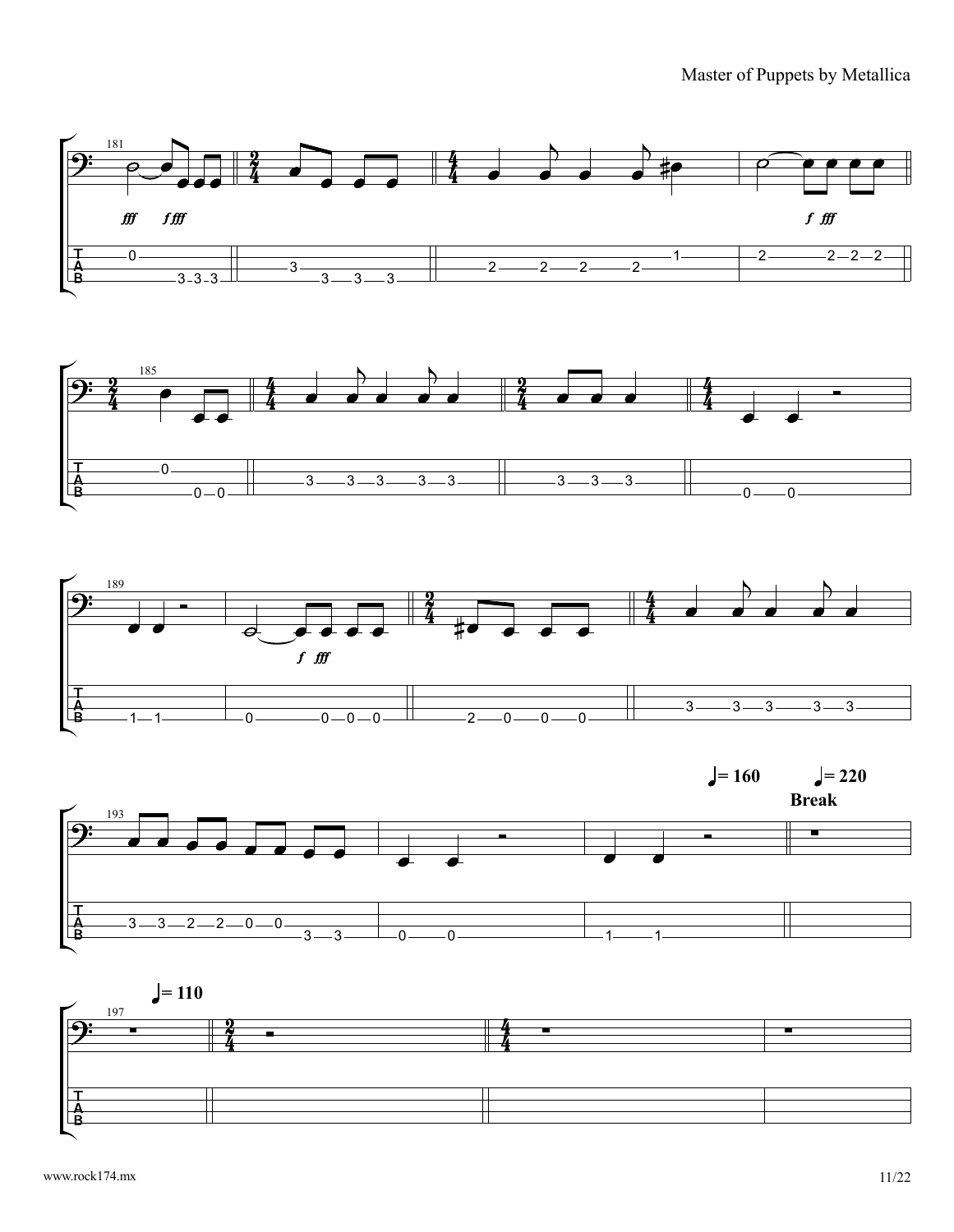







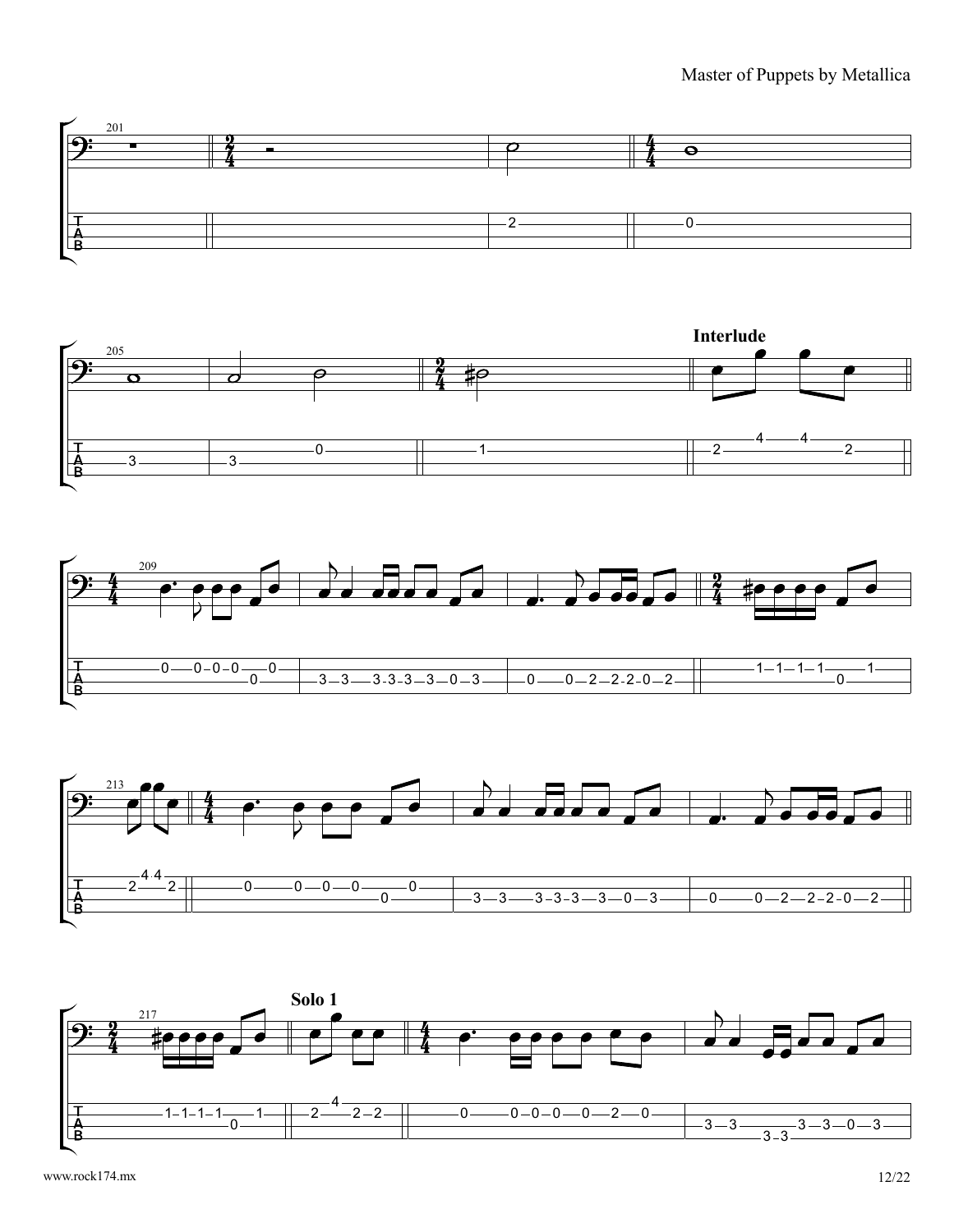## Master of Puppets by Metallica









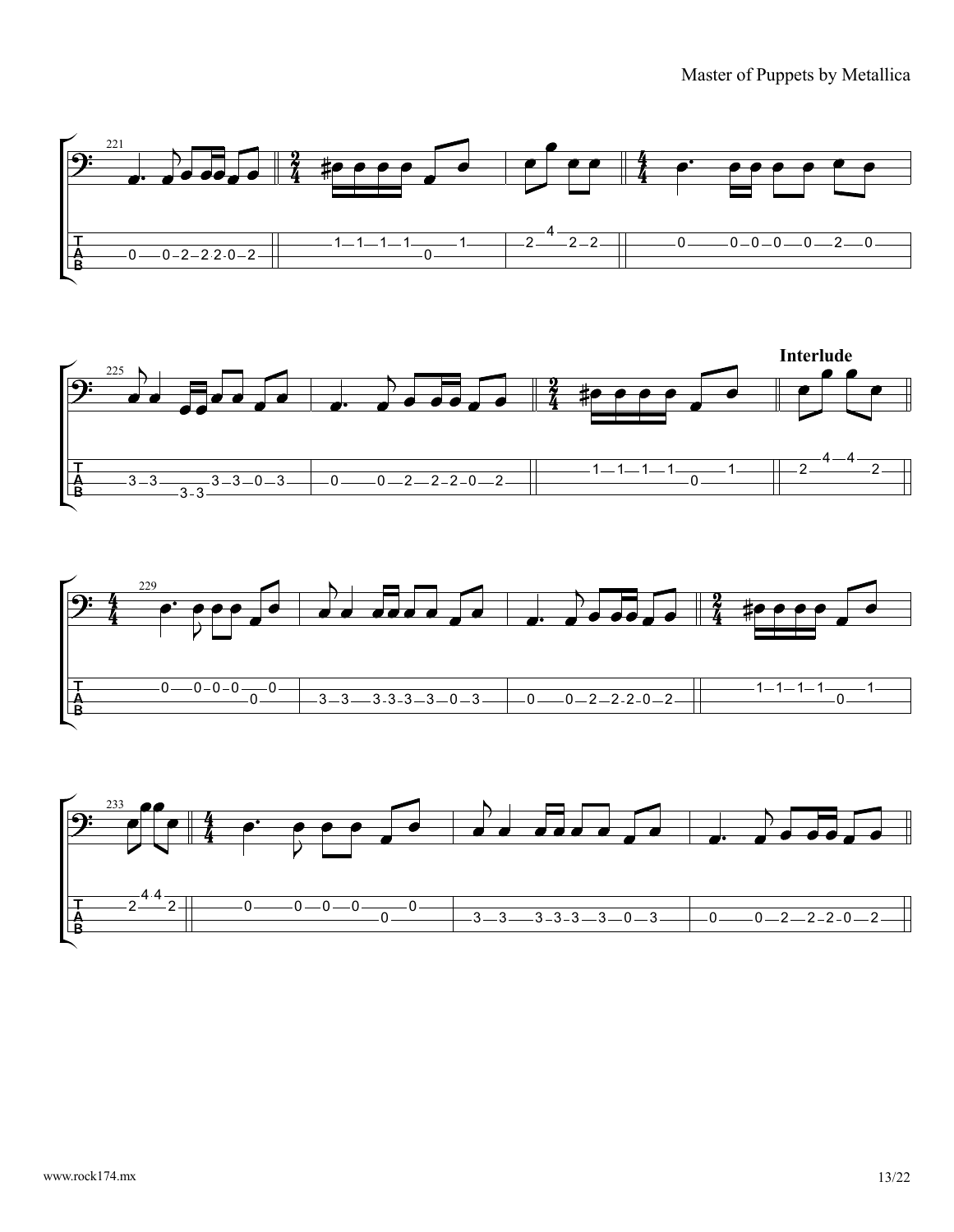





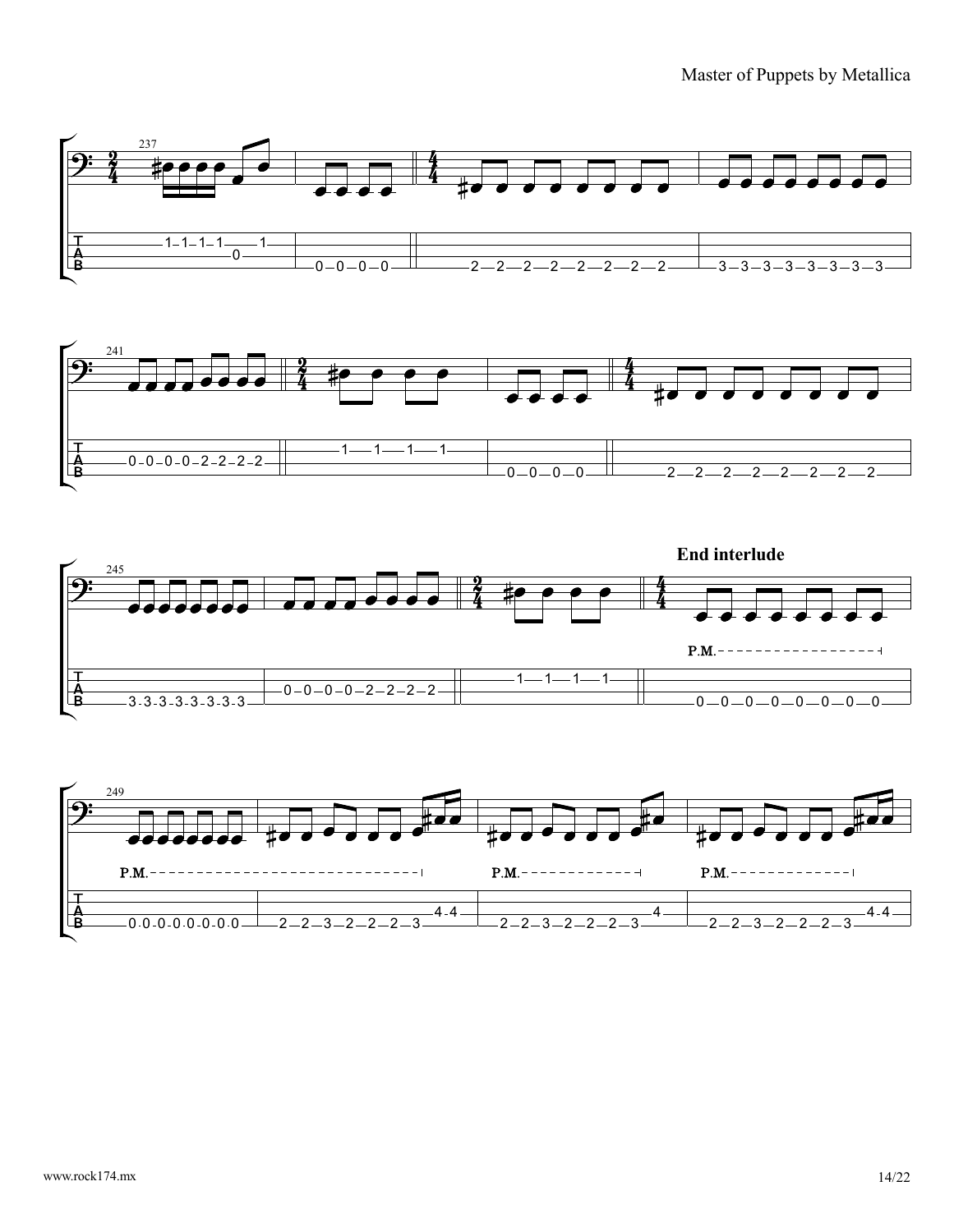





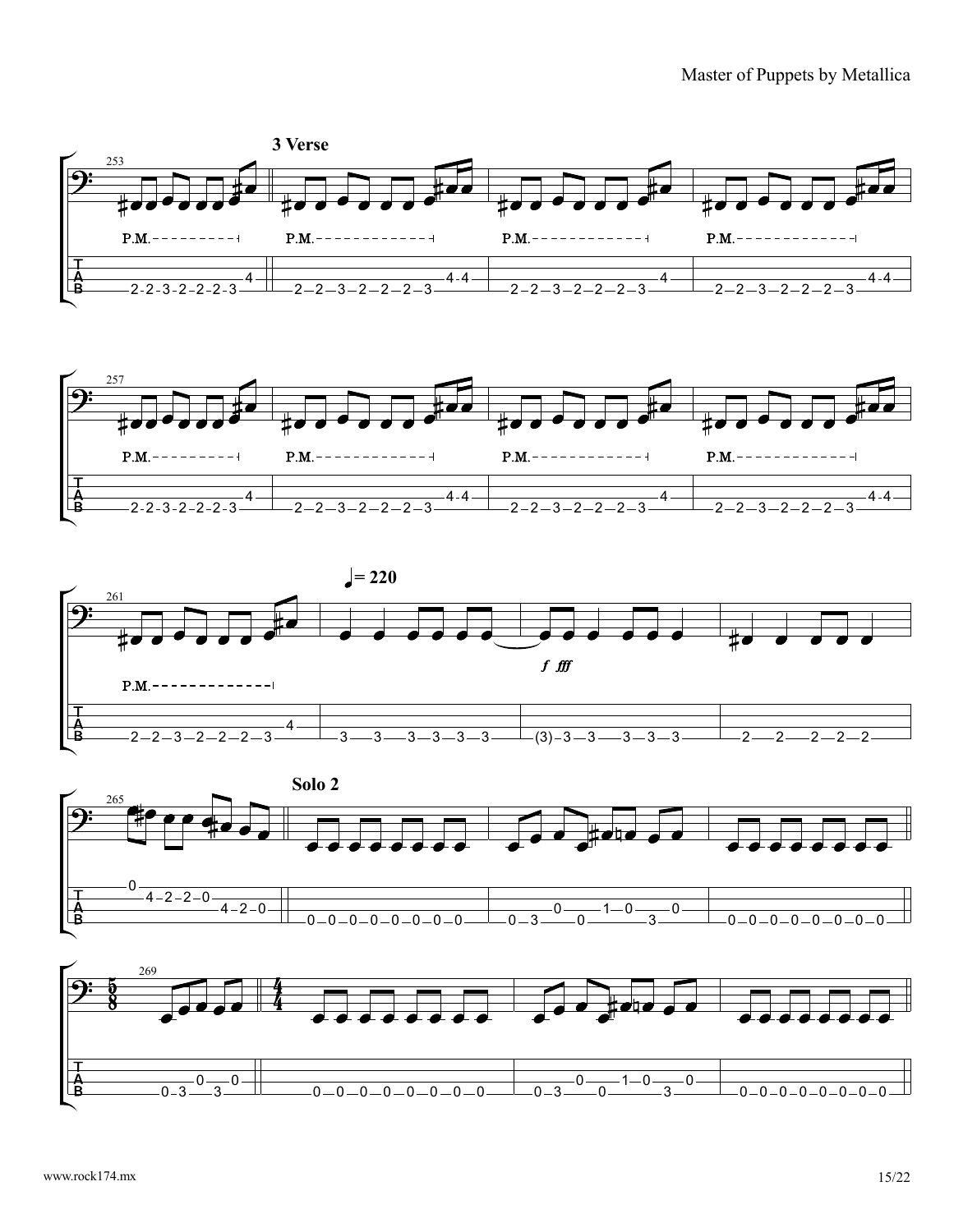







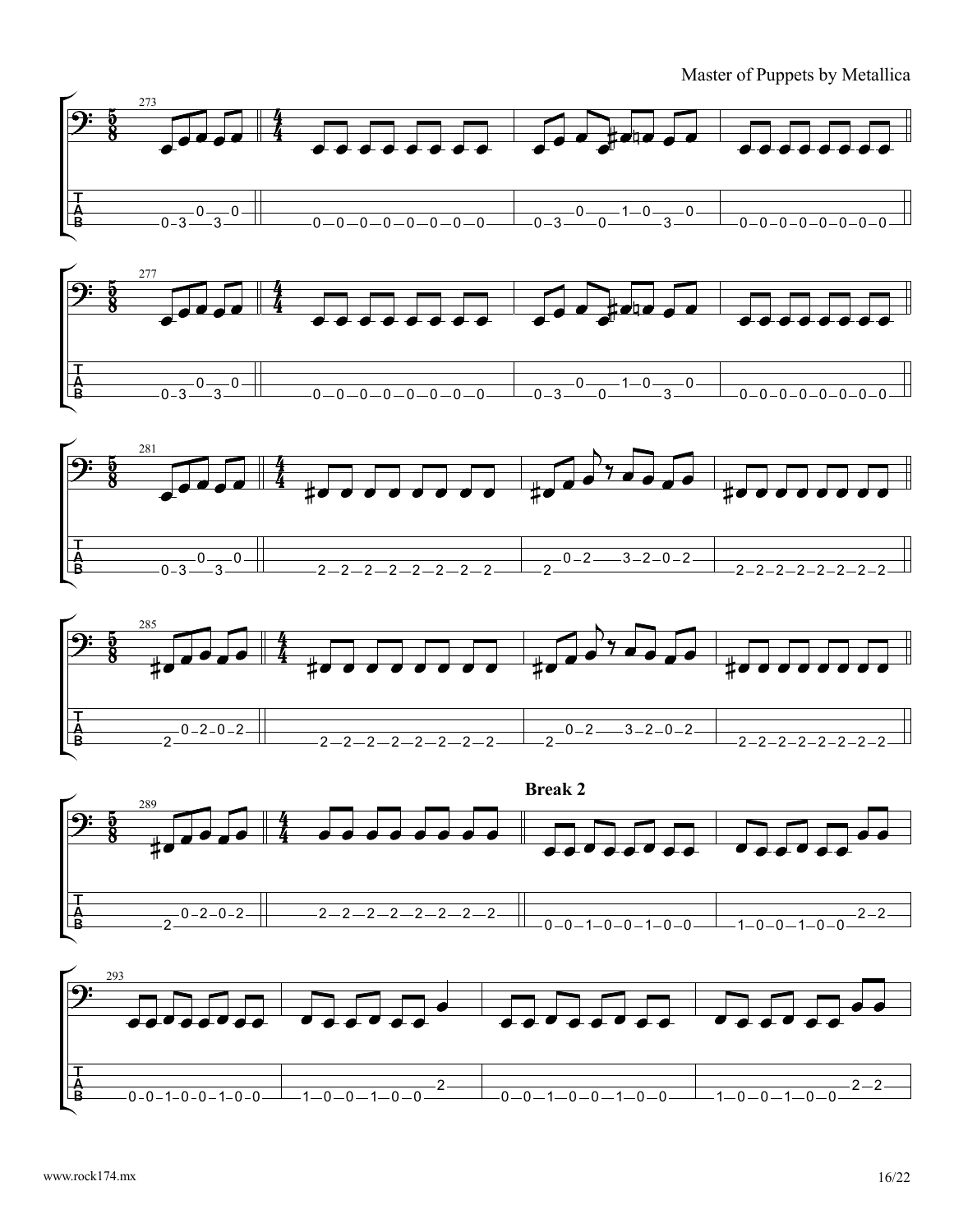Master of Puppets by Metallica











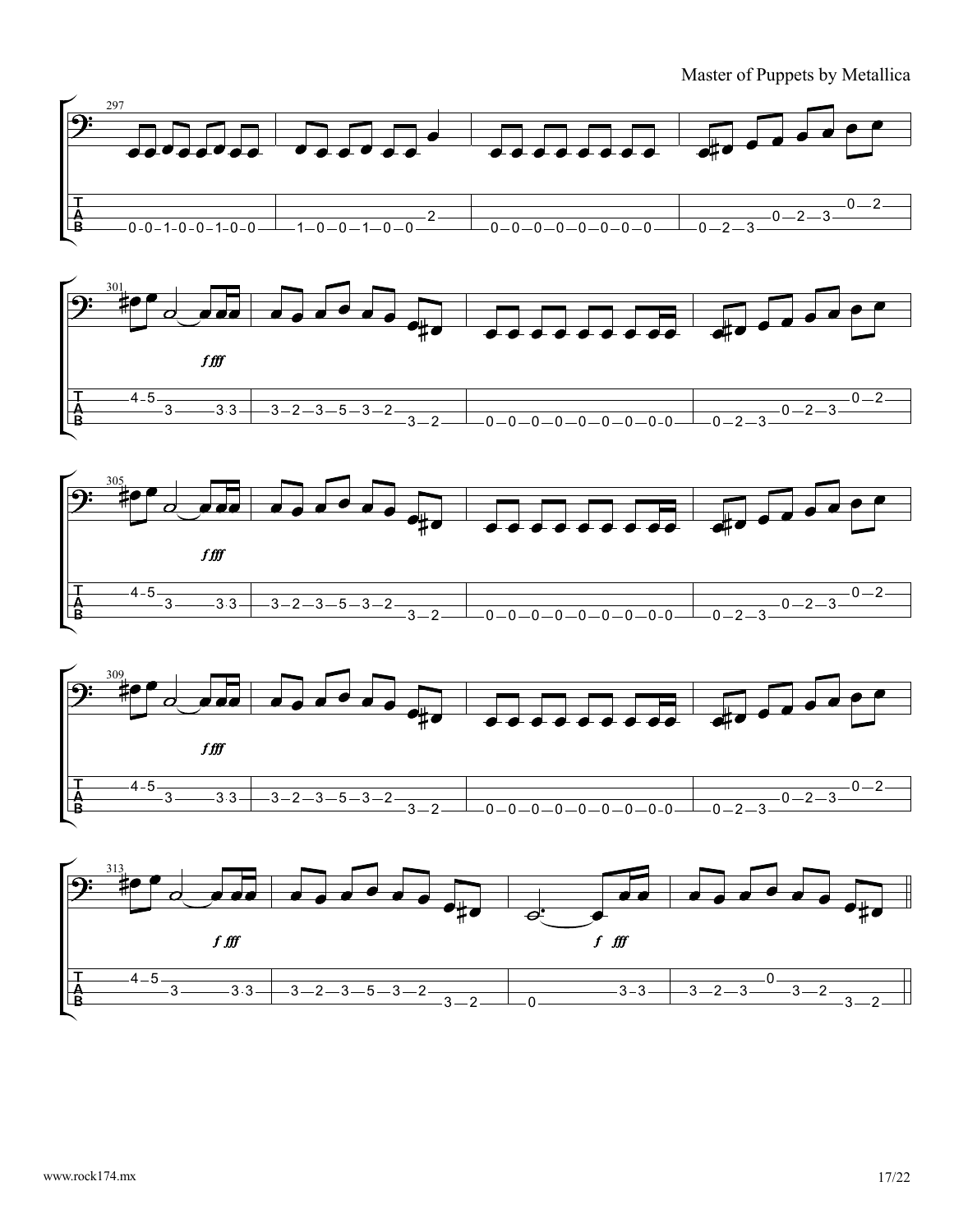Master of Puppets by Metallica









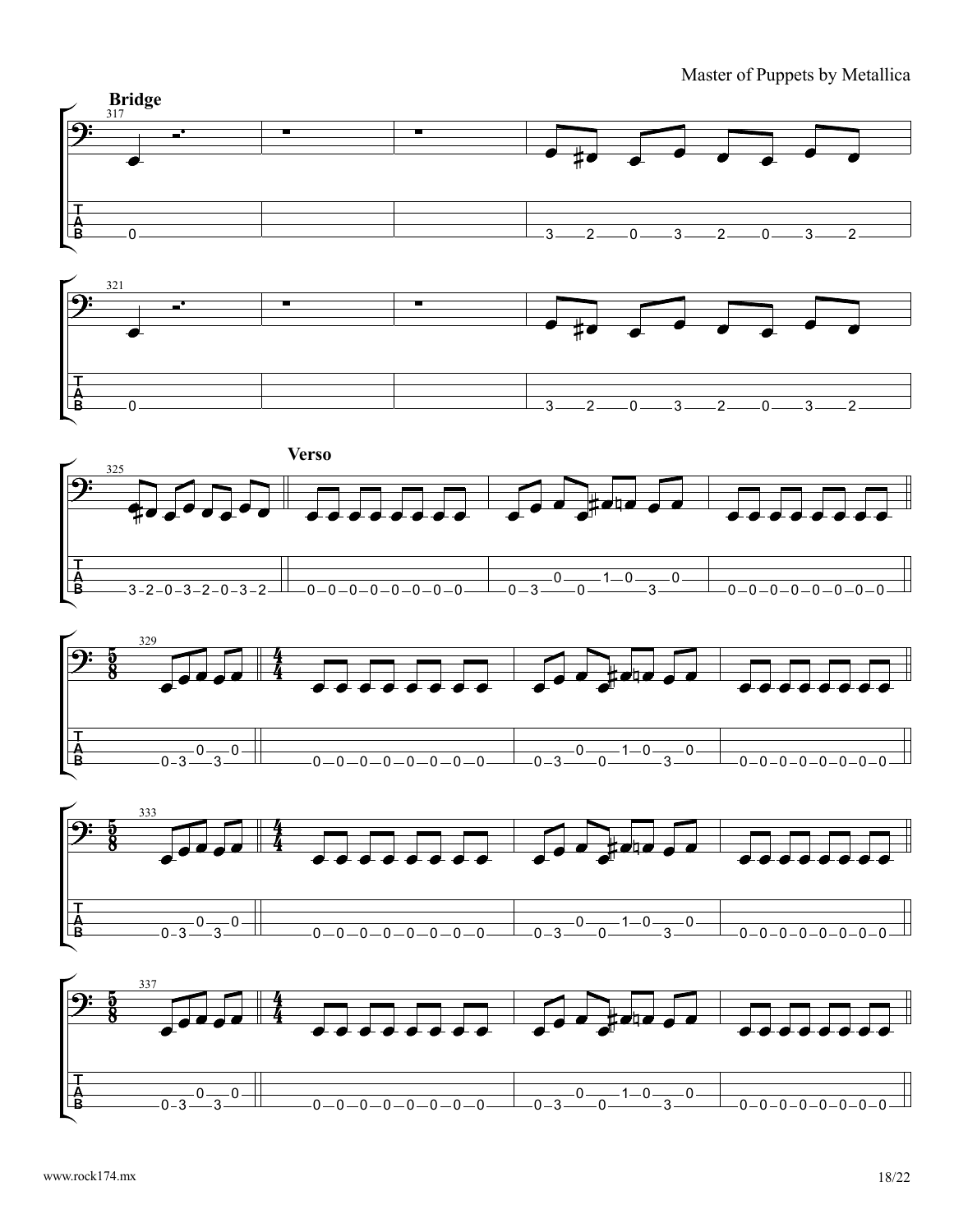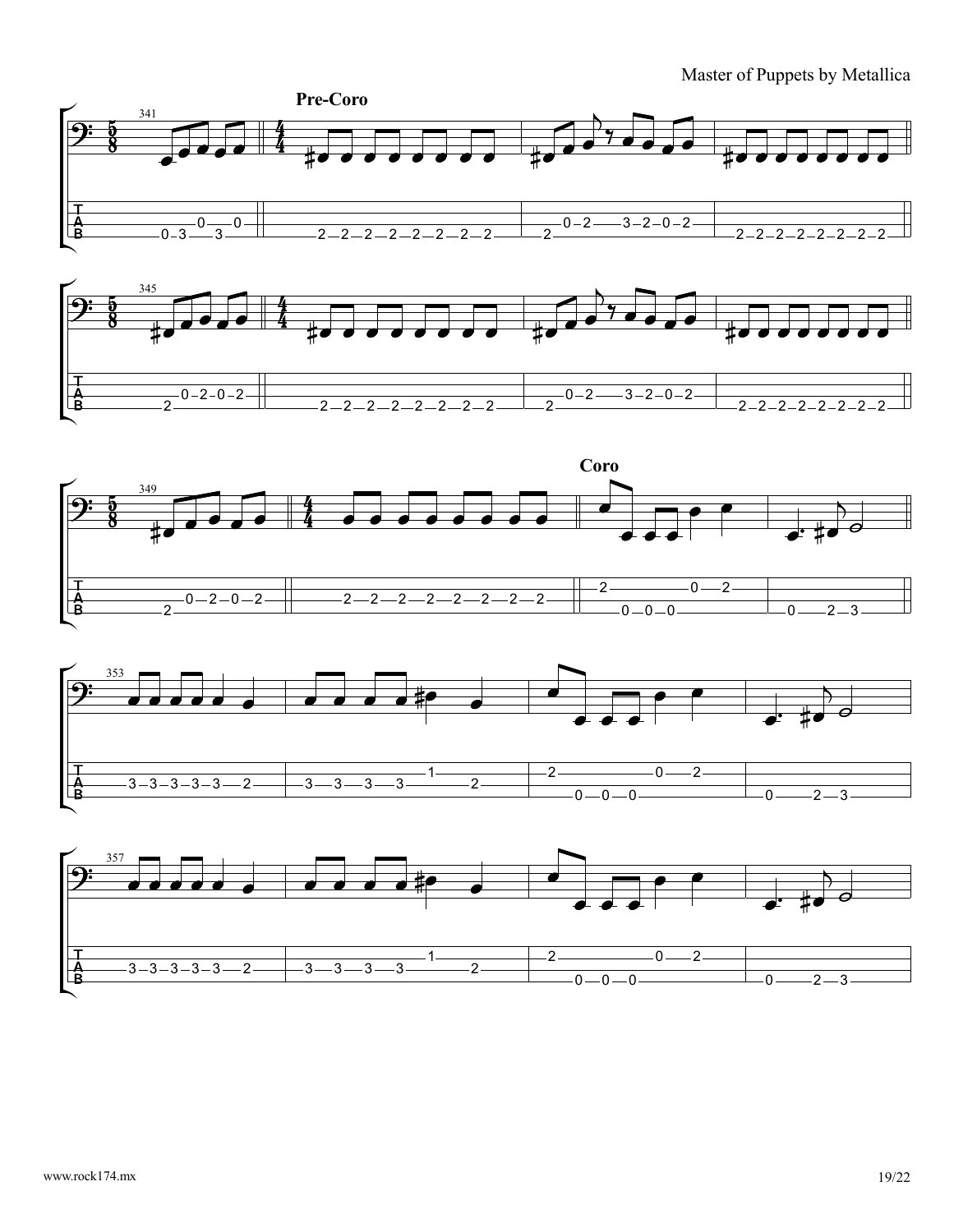







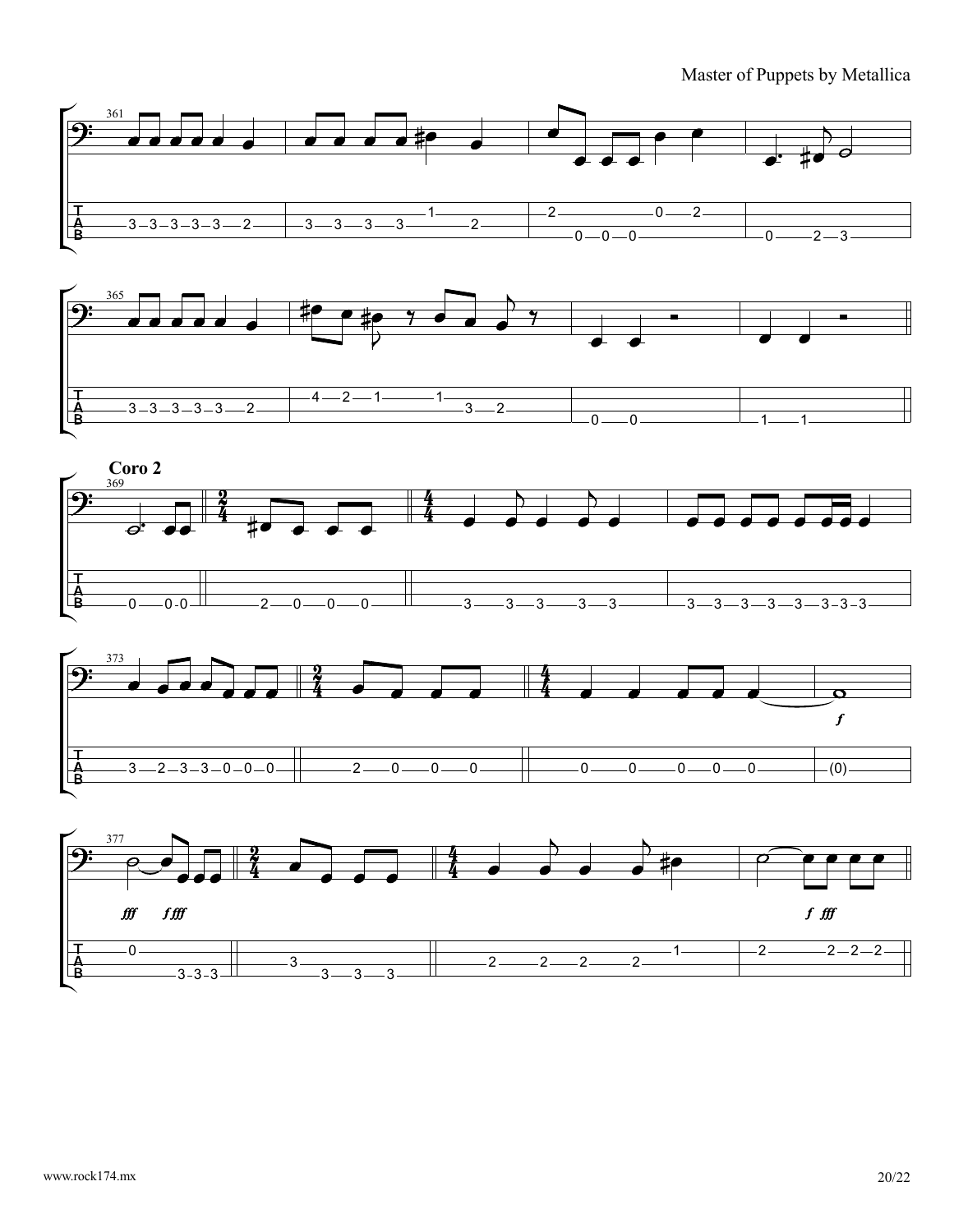Master of Puppets by Metallica









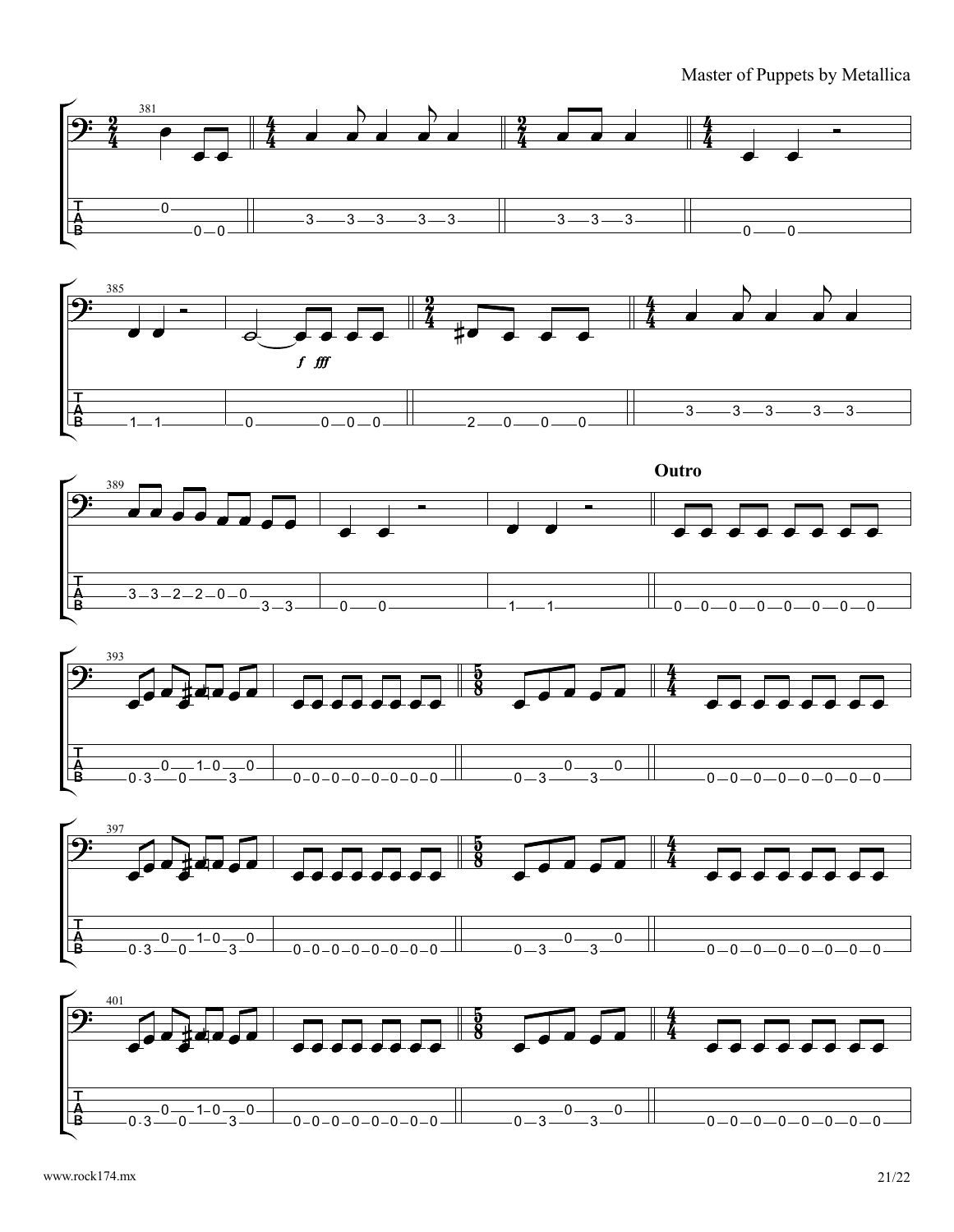Master of Puppets by Metallica